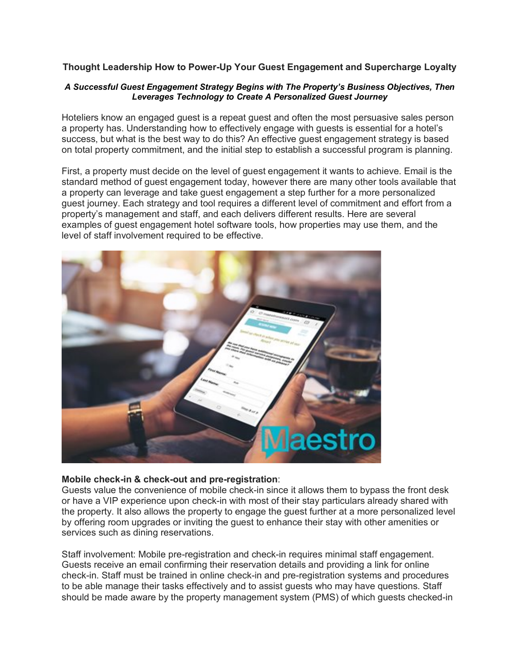## **Thought Leadership How to Power-Up Your Guest Engagement and Supercharge Loyalty**

#### *A Successful Guest Engagement Strategy Begins with The Property's Business Objectives, Then Leverages Technology to Create A Personalized Guest Journey*

Hoteliers know an engaged guest is a repeat guest and often the most persuasive sales person a property has. Understanding how to effectively engage with guests is essential for a hotel's success, but what is the best way to do this? An effective guest engagement strategy is based on total property commitment, and the initial step to establish a successful program is planning.

First, a property must decide on the level of guest engagement it wants to achieve. Email is the standard method of guest engagement today, however there are many other tools available that a property can leverage and take guest engagement a step further for a more personalized guest journey. Each strategy and tool requires a different level of commitment and effort from a property's management and staff, and each delivers different results. Here are several examples of guest engagement hotel software tools, how properties may use them, and the level of staff involvement required to be effective.



#### **Mobile check-in & check-out and pre-registration**:

Guests value the convenience of mobile check-in since it allows them to bypass the front desk or have a VIP experience upon check-in with most of their stay particulars already shared with the property. It also allows the property to engage the guest further at a more personalized level by offering room upgrades or inviting the guest to enhance their stay with other amenities or services such as dining reservations.

Staff involvement: Mobile pre-registration and check-in requires minimal staff engagement. Guests receive an email confirming their reservation details and providing a link for online check-in. Staff must be trained in online check-in and pre-registration systems and procedures to be able manage their tasks effectively and to assist guests who may have questions. Staff should be made aware by the property management system (PMS) of which guests checked-in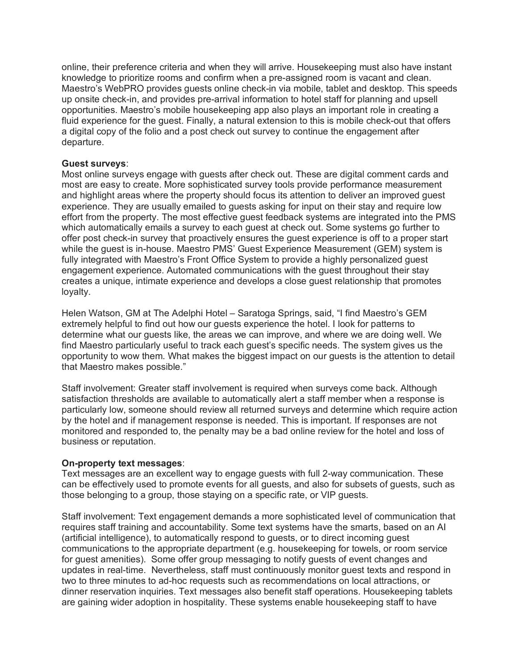online, their preference criteria and when they will arrive. Housekeeping must also have instant knowledge to prioritize rooms and confirm when a pre-assigned room is vacant and clean. Maestro's WebPRO provides guests online check-in via mobile, tablet and desktop. This speeds up onsite check-in, and provides pre-arrival information to hotel staff for planning and upsell opportunities. Maestro's mobile housekeeping app also plays an important role in creating a fluid experience for the guest. Finally, a natural extension to this is mobile check-out that offers a digital copy of the folio and a post check out survey to continue the engagement after departure.

### **Guest surveys**:

Most online surveys engage with guests after check out. These are digital comment cards and most are easy to create. More sophisticated survey tools provide performance measurement and highlight areas where the property should focus its attention to deliver an improved guest experience. They are usually emailed to guests asking for input on their stay and require low effort from the property. The most effective guest feedback systems are integrated into the PMS which automatically emails a survey to each guest at check out. Some systems go further to offer post check-in survey that proactively ensures the guest experience is off to a proper start while the guest is in-house. Maestro PMS' Guest Experience Measurement (GEM) system is fully integrated with Maestro's Front Office System to provide a highly personalized guest engagement experience. Automated communications with the guest throughout their stay creates a unique, intimate experience and develops a close guest relationship that promotes loyalty.

Helen Watson, GM at The Adelphi Hotel – Saratoga Springs, said, "I find Maestro's GEM extremely helpful to find out how our guests experience the hotel. I look for patterns to determine what our guests like, the areas we can improve, and where we are doing well. We find Maestro particularly useful to track each guest's specific needs. The system gives us the opportunity to wow them. What makes the biggest impact on our guests is the attention to detail that Maestro makes possible."

Staff involvement: Greater staff involvement is required when surveys come back. Although satisfaction thresholds are available to automatically alert a staff member when a response is particularly low, someone should review all returned surveys and determine which require action by the hotel and if management response is needed. This is important. If responses are not monitored and responded to, the penalty may be a bad online review for the hotel and loss of business or reputation.

# **On-property text messages**:

Text messages are an excellent way to engage guests with full 2-way communication. These can be effectively used to promote events for all guests, and also for subsets of guests, such as those belonging to a group, those staying on a specific rate, or VIP guests.

Staff involvement: Text engagement demands a more sophisticated level of communication that requires staff training and accountability. Some text systems have the smarts, based on an AI (artificial intelligence), to automatically respond to guests, or to direct incoming guest communications to the appropriate department (e.g. housekeeping for towels, or room service for guest amenities). Some offer group messaging to notify guests of event changes and updates in real-time. Nevertheless, staff must continuously monitor guest texts and respond in two to three minutes to ad-hoc requests such as recommendations on local attractions, or dinner reservation inquiries. Text messages also benefit staff operations. Housekeeping tablets are gaining wider adoption in hospitality. These systems enable housekeeping staff to have